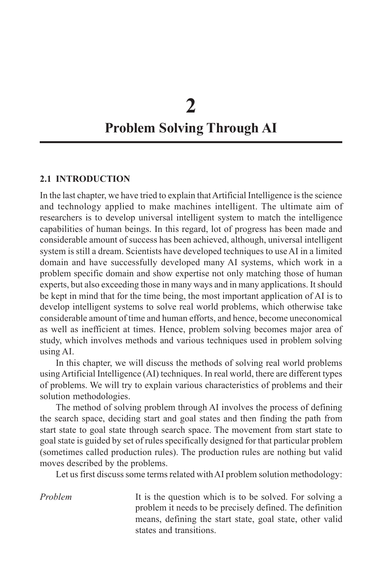# **2 Problem Solving Through AI**

#### **2.1 INTRODUCTION**

In the last chapter, we have tried to explain that Artificial Intelligence is the science and technology applied to make machines intelligent. The ultimate aim of researchers is to develop universal intelligent system to match the intelligence capabilities of human beings. In this regard, lot of progress has been made and considerable amount of success has been achieved, although, universal intelligent system is still a dream. Scientists have developed techniques to use AI in a limited domain and have successfully developed many AI systems, which work in a problem specific domain and show expertise not only matching those of human experts, but also exceeding those in many ways and in many applications. It should be kept in mind that for the time being, the most important application of AI is to develop intelligent systems to solve real world problems, which otherwise take considerable amount of time and human efforts, and hence, become uneconomical as well as inefficient at times. Hence, problem solving becomes major area of study, which involves methods and various techniques used in problem solving using AI.

In this chapter, we will discuss the methods of solving real world problems using Artificial Intelligence (AI) techniques. In real world, there are different types of problems. We will try to explain various characteristics of problems and their solution methodologies.

The method of solving problem through AI involves the process of defining the search space, deciding start and goal states and then finding the path from start state to goal state through search space. The movement from start state to goal state is guided by set of rules specifically designed for that particular problem (sometimes called production rules). The production rules are nothing but valid moves described by the problems.

Let us first discuss some terms related with AI problem solution methodology:

*Problem* It is the question which is to be solved. For solving a problem it needs to be precisely defined. The definition means, defining the start state, goal state, other valid states and transitions.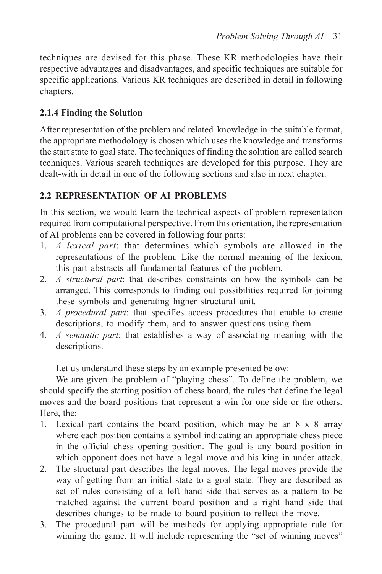techniques are devised for this phase. These KR methodologies have their respective advantages and disadvantages, and specific techniques are suitable for specific applications. Various KR techniques are described in detail in following chapters.

# **2.1.4 Finding the Solution**

After representation of the problem and related knowledge in the suitable format, the appropriate methodology is chosen which uses the knowledge and transforms the start state to goal state. The techniques of finding the solution are called search techniques. Various search techniques are developed for this purpose. They are dealt-with in detail in one of the following sections and also in next chapter.

# **2.2 REPRESENTATION OF AI PROBLEMS**

In this section, we would learn the technical aspects of problem representation required from computational perspective. From this orientation, the representation of AI problems can be covered in following four parts:

- 1. *A lexical part*: that determines which symbols are allowed in the representations of the problem. Like the normal meaning of the lexicon, this part abstracts all fundamental features of the problem.
- 2. *A structural part*: that describes constraints on how the symbols can be arranged. This corresponds to finding out possibilities required for joining these symbols and generating higher structural unit.
- 3. *A procedural part*: that specifies access procedures that enable to create descriptions, to modify them, and to answer questions using them.
- 4. *A semantic part*: that establishes a way of associating meaning with the descriptions.

Let us understand these steps by an example presented below:

We are given the problem of "playing chess". To define the problem, we should specify the starting position of chess board, the rules that define the legal moves and the board positions that represent a win for one side or the others. Here, the:

- 1. Lexical part contains the board position, which may be an 8 x 8 array where each position contains a symbol indicating an appropriate chess piece in the official chess opening position. The goal is any board position in which opponent does not have a legal move and his king in under attack.
- 2. The structural part describes the legal moves. The legal moves provide the way of getting from an initial state to a goal state. They are described as set of rules consisting of a left hand side that serves as a pattern to be matched against the current board position and a right hand side that describes changes to be made to board position to reflect the move.
- 3. The procedural part will be methods for applying appropriate rule for winning the game. It will include representing the "set of winning moves"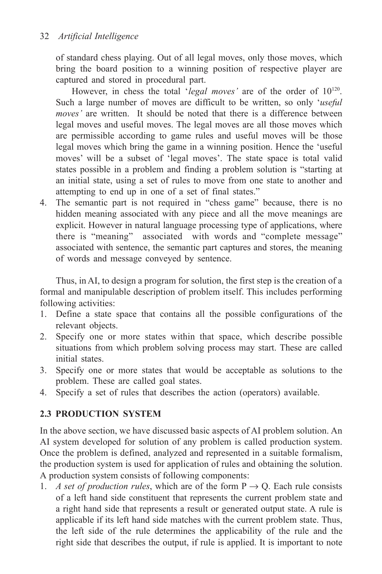of standard chess playing. Out of all legal moves, only those moves, which bring the board position to a winning position of respective player are captured and stored in procedural part.

However, in chess the total '*legal moves'* are of the order of  $10^{120}$ . Such a large number of moves are difficult to be written, so only '*useful moves'* are written. It should be noted that there is a difference between legal moves and useful moves. The legal moves are all those moves which are permissible according to game rules and useful moves will be those legal moves which bring the game in a winning position. Hence the 'useful moves' will be a subset of 'legal moves'. The state space is total valid states possible in a problem and finding a problem solution is "starting at an initial state, using a set of rules to move from one state to another and attempting to end up in one of a set of final states."

4. The semantic part is not required in "chess game" because, there is no hidden meaning associated with any piece and all the move meanings are explicit. However in natural language processing type of applications, where there is "meaning" associated with words and "complete message" associated with sentence, the semantic part captures and stores, the meaning of words and message conveyed by sentence.

Thus, in AI, to design a program for solution, the first step is the creation of a formal and manipulable description of problem itself. This includes performing following activities:

- 1. Define a state space that contains all the possible configurations of the relevant objects.
- 2. Specify one or more states within that space, which describe possible situations from which problem solving process may start. These are called initial states.
- 3. Specify one or more states that would be acceptable as solutions to the problem. These are called goal states.
- 4. Specify a set of rules that describes the action (operators) available.

# **2.3 PRODUCTION SYSTEM**

In the above section, we have discussed basic aspects of AI problem solution. An AI system developed for solution of any problem is called production system. Once the problem is defined, analyzed and represented in a suitable formalism, the production system is used for application of rules and obtaining the solution. A production system consists of following components:

1. *A set of production rules*, which are of the form  $P \rightarrow Q$ . Each rule consists of a left hand side constituent that represents the current problem state and a right hand side that represents a result or generated output state. A rule is applicable if its left hand side matches with the current problem state. Thus, the left side of the rule determines the applicability of the rule and the right side that describes the output, if rule is applied. It is important to note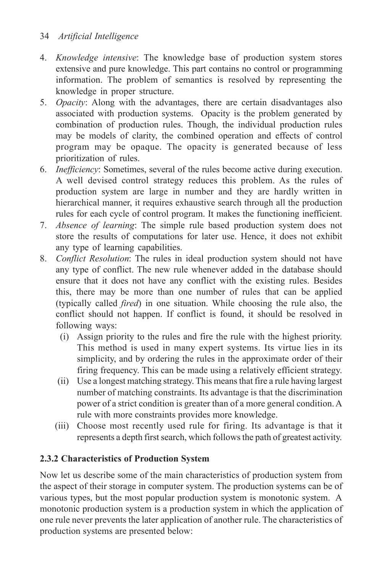# 34 *Artificial Intelligence*

- 4. *Knowledge intensive*: The knowledge base of production system stores extensive and pure knowledge. This part contains no control or programming information. The problem of semantics is resolved by representing the knowledge in proper structure.
- 5. *Opacity*: Along with the advantages, there are certain disadvantages also associated with production systems. Opacity is the problem generated by combination of production rules. Though, the individual production rules may be models of clarity, the combined operation and effects of control program may be opaque. The opacity is generated because of less prioritization of rules.
- 6. *Inefficiency*: Sometimes, several of the rules become active during execution. A well devised control strategy reduces this problem. As the rules of production system are large in number and they are hardly written in hierarchical manner, it requires exhaustive search through all the production rules for each cycle of control program. It makes the functioning inefficient.
- 7. *Absence of learning*: The simple rule based production system does not store the results of computations for later use. Hence, it does not exhibit any type of learning capabilities.
- 8. *Conflict Resolution*: The rules in ideal production system should not have any type of conflict. The new rule whenever added in the database should ensure that it does not have any conflict with the existing rules. Besides this, there may be more than one number of rules that can be applied (typically called *fired*) in one situation. While choosing the rule also, the conflict should not happen. If conflict is found, it should be resolved in following ways:
	- (i) Assign priority to the rules and fire the rule with the highest priority. This method is used in many expert systems. Its virtue lies in its simplicity, and by ordering the rules in the approximate order of their firing frequency. This can be made using a relatively efficient strategy.
	- (ii) Use a longest matching strategy. This means that fire a rule having largest number of matching constraints. Its advantage is that the discrimination power of a strict condition is greater than of a more general condition. A rule with more constraints provides more knowledge.
	- (iii) Choose most recently used rule for firing. Its advantage is that it represents a depth first search, which follows the path of greatest activity.

# **2.3.2 Characteristics of Production System**

Now let us describe some of the main characteristics of production system from the aspect of their storage in computer system. The production systems can be of various types, but the most popular production system is monotonic system. A monotonic production system is a production system in which the application of one rule never prevents the later application of another rule. The characteristics of production systems are presented below: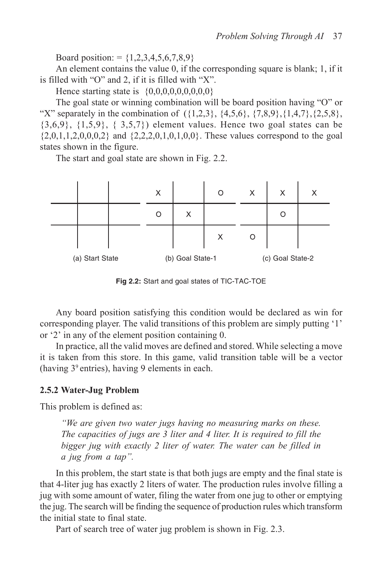Board position: =  ${1,2,3,4,5,6,7,8,9}$ 

An element contains the value 0, if the corresponding square is blank; 1, if it is filled with "O" and 2, if it is filled with "X".

Hence starting state is  $\{0,0,0,0,0,0,0,0,0\}$ 

The goal state or winning combination will be board position having "O" or "X" separately in the combination of  $({1,2,3}, {4,5,6}, {7,8,9}, {1,4,7}, {2,5,8},$  $\{3,6,9\}, \{1,5,9\}, \{3,5,7\}$  element values. Hence two goal states can be  $\{2,0,1,1,2,0,0,0,2\}$  and  $\{2,2,2,0,1,0,1,0,0\}$ . These values correspond to the goal states shown in the figure.

The start and goal state are shown in Fig. 2.2.



**Fig 2.2:** Start and goal states of TIC-TAC-TOE

Any board position satisfying this condition would be declared as win for corresponding player. The valid transitions of this problem are simply putting '1' or '2' in any of the element position containing 0.

In practice, all the valid moves are defined and stored. While selecting a move it is taken from this store. In this game, valid transition table will be a vector (having 39 entries), having 9 elements in each.

#### **2.5.2 Water-Jug Problem**

This problem is defined as:

*"We are given two water jugs having no measuring marks on these. The capacities of jugs are 3 liter and 4 liter. It is required to fill the bigger jug with exactly 2 liter of water. The water can be filled in a jug from a tap".*

In this problem, the start state is that both jugs are empty and the final state is that 4-liter jug has exactly 2 liters of water. The production rules involve filling a jug with some amount of water, filing the water from one jug to other or emptying the jug. The search will be finding the sequence of production rules which transform the initial state to final state.

Part of search tree of water jug problem is shown in Fig. 2.3.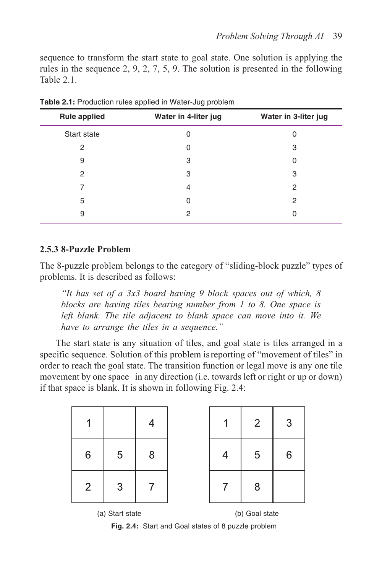sequence to transform the start state to goal state. One solution is applying the rules in the sequence 2, 9, 2, 7, 5, 9. The solution is presented in the following Table 2.1.

| <b>Rule applied</b> | Water in 4-liter jug | Water in 3-liter jug |
|---------------------|----------------------|----------------------|
| Start state         | 0                    | 0                    |
| 2                   | $\Omega$             | 3                    |
| 9                   | 3                    | 0                    |
| 2                   | 3                    | 3                    |
| 7                   | 4                    | 2                    |
| 5                   | $\Omega$             | 2                    |
| 9                   | 2                    | 0                    |

**Table 2.1:** Production rules applied in Water-Jug problem

#### **2.5.3 8-Puzzle Problem**

The 8-puzzle problem belongs to the category of "sliding-block puzzle" types of problems. It is described as follows:

*"It has set of a 3x3 board having 9 block spaces out of which, 8 blocks are having tiles bearing number from 1 to 8. One space is left blank. The tile adjacent to blank space can move into it. We have to arrange the tiles in a sequence."*

The start state is any situation of tiles, and goal state is tiles arranged in a specific sequence. Solution of this problem isreporting of "movement of tiles" in order to reach the goal state. The transition function or legal move is any one tile movement by one space in any direction (i.e. towards left or right or up or down) if that space is blank. It is shown in following Fig. 2.4:

|                 |   |   |  | $\overline{2}$ | 3 |
|-----------------|---|---|--|----------------|---|
| 6               | 5 | 8 |  | 5              | 6 |
| $\overline{2}$  | 3 |   |  | 8              |   |
| (a) Start state |   |   |  | (b) Goal state |   |

**Fig. 2.4:** Start and Goal states of 8 puzzle problem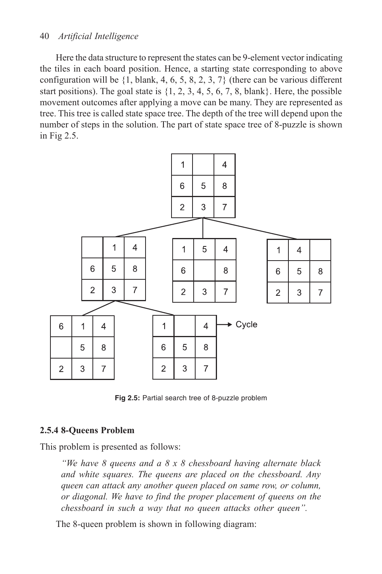#### 40 *Artificial Intelligence*

Here the data structure to represent the states can be 9-element vector indicating the tiles in each board position. Hence, a starting state corresponding to above configuration will be  $\{1, \text{blank}, 4, 6, 5, 8, 2, 3, 7\}$  (there can be various different start positions). The goal state is {1, 2, 3, 4, 5, 6, 7, 8, blank}. Here, the possible movement outcomes after applying a move can be many. They are represented as tree. This tree is called state space tree. The depth of the tree will depend upon the number of steps in the solution. The part of state space tree of 8-puzzle is shown in Fig 2.5.



**Fig 2.5:** Partial search tree of 8-puzzle problem

#### **2.5.4 8-Queens Problem**

This problem is presented as follows:

*"We have 8 queens and a 8 x 8 chessboard having alternate black and white squares. The queens are placed on the chessboard. Any queen can attack any another queen placed on same row, or column, or diagonal. We have to find the proper placement of queens on the chessboard in such a way that no queen attacks other queen".*

The 8-queen problem is shown in following diagram: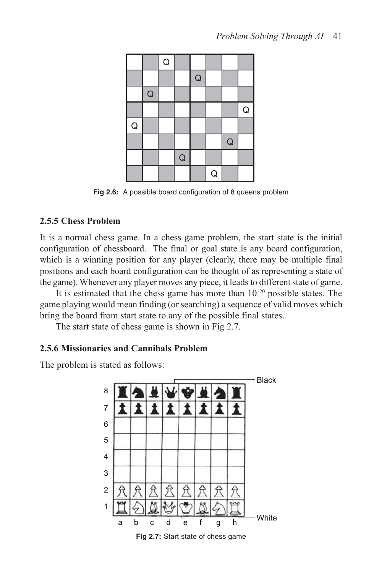

**Fig 2.6:** A possible board configuration of 8 queens problem

## **2.5.5 Chess Problem**

It is a normal chess game. In a chess game problem, the start state is the initial configuration of chessboard. The final or goal state is any board configuration, which is a winning position for any player (clearly, there may be multiple final positions and each board configuration can be thought of as representing a state of the game). Whenever any player moves any piece, it leads to different state of game.

It is estimated that the chess game has more than  $10^{120}$  possible states. The game playing would mean finding (or searching) a sequence of valid moves which bring the board from start state to any of the possible final states.

The start state of chess game is shown in Fig 2.7.

# **2.5.6 Missionaries and Cannibals Problem**

The problem is stated as follows:



**Fig 2.7:** Start state of chess game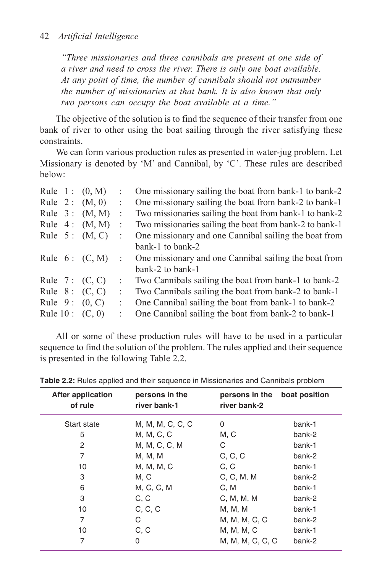*"Three missionaries and three cannibals are present at one side of a river and need to cross the river. There is only one boat available. At any point of time, the number of cannibals should not outnumber the number of missionaries at that bank. It is also known that only two persons can occupy the boat available at a time."*

The objective of the solution is to find the sequence of their transfer from one bank of river to other using the boat sailing through the river satisfying these constraints.

We can form various production rules as presented in water-jug problem. Let Missionary is denoted by 'M' and Cannibal, by 'C'. These rules are described below:

|  | Rule $1: (0, M)$  |                      | One missionary sailing the boat from bank-1 to bank-2   |
|--|-------------------|----------------------|---------------------------------------------------------|
|  | Rule $2: (M, 0)$  | ÷                    | One missionary sailing the boat from bank-2 to bank-1   |
|  | Rule $3: (M, M)$  | $\ddot{\cdot}$       | Two missionaries sailing the boat from bank-1 to bank-2 |
|  | Rule $4: (M, M)$  | $\ddot{\cdot}$       | Two missionaries sailing the boat from bank-2 to bank-1 |
|  | Rule $5: (M, C)$  |                      | One missionary and one Cannibal sailing the boat from   |
|  |                   |                      | bank-1 to bank-2                                        |
|  | Rule $6: (C, M)$  | ÷                    | One missionary and one Cannibal sailing the boat from   |
|  |                   |                      | bank-2 to bank-1                                        |
|  | Rule 7: $(C, C)$  | $\ddot{\phantom{a}}$ | Two Cannibals sailing the boat from bank-1 to bank-2    |
|  | Rule $8: (C, C)$  | ÷                    | Two Cannibals sailing the boat from bank-2 to bank-1    |
|  | Rule $9: (0, C)$  | $\ddot{\phantom{a}}$ | One Cannibal sailing the boat from bank-1 to bank-2     |
|  | Rule $10: (C, 0)$ |                      | One Cannibal sailing the boat from bank-2 to bank-1     |

All or some of these production rules will have to be used in a particular sequence to find the solution of the problem. The rules applied and their sequence is presented in the following Table 2.2.

| persons in the<br>river bank-1 | persons in the<br>river bank-2 | boat position |
|--------------------------------|--------------------------------|---------------|
| M, M, M, C, C, C               | 0                              | bank-1        |
| M, M, C, C                     | M, C                           | bank-2        |
| M, M, C, C, M                  | С                              | bank-1        |
| M, M, M                        | C, C, C                        | bank-2        |
| M, M, M, C                     | C, C                           | bank-1        |
| M, C                           | C, C, M, M                     | bank-2        |
| M, C, C, M                     | C.M                            | bank-1        |
| C, C                           | C, M, M, M                     | bank-2        |
| C, C, C                        | M, M, M                        | bank-1        |
| C                              | M, M, M, C, C                  | bank-2        |
| C, C                           | M, M, M, C                     | bank-1        |
| 0                              | M, M, M, C, C, C               | bank-2        |
|                                |                                |               |

**Table 2.2:** Rules applied and their sequence in Missionaries and Cannibals problem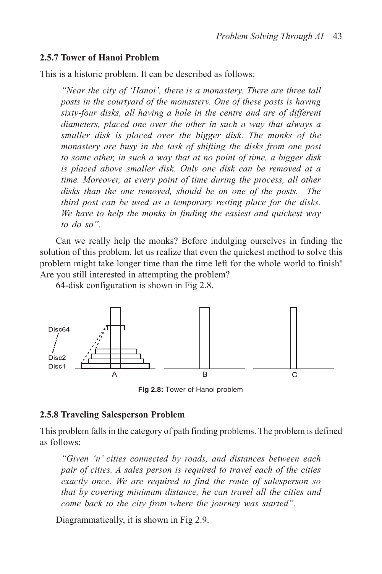#### **2.5.7 Tower of Hanoi Problem**

This is a historic problem. It can be described as follows:

*"Near the city of 'Hanoi', there is a monastery. There are three tall posts in the courtyard of the monastery. One of these posts is having sixty-four disks, all having a hole in the centre and are of different diameters, placed one over the other in such a way that always a smaller disk is placed over the bigger disk. The monks of the monastery are busy in the task of shifting the disks from one post to some other, in such a way that at no point of time, a bigger disk is placed above smaller disk. Only one disk can be removed at a time. Moreover, at every point of time during the process, all other disks than the one removed, should be on one of the posts. The third post can be used as a temporary resting place for the disks. We have to help the monks in finding the easiest and quickest way to do so".*

Can we really help the monks? Before indulging ourselves in finding the solution of this problem, let us realize that even the quickest method to solve this problem might take longer time than the time left for the whole world to finish! Are you still interested in attempting the problem?

64-disk configuration is shown in Fig 2.8.



**Fig 2.8:** Tower of Hanoi problem

#### **2.5.8 Traveling Salesperson Problem**

This problem falls in the category of path finding problems. The problem is defined as follows:

*"Given 'n' cities connected by roads, and distances between each pair of cities. A sales person is required to travel each of the cities exactly once. We are required to find the route of salesperson so that by covering minimum distance, he can travel all the cities and come back to the city from where the journey was started".*

Diagrammatically, it is shown in Fig 2.9.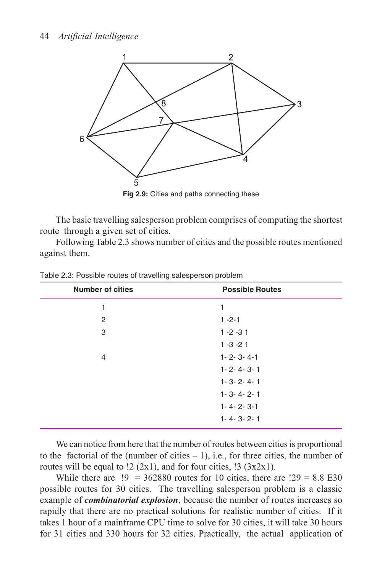

The basic travelling salesperson problem comprises of computing the shortest route through a given set of cities.

Following Table 2.3 shows number of cities and the possible routes mentioned against them.

| <b>Number of cities</b> | <b>Possible Routes</b> |  |
|-------------------------|------------------------|--|
| 1                       | 1                      |  |
| 2                       | $1 - 2 - 1$            |  |
| 3                       | $1 - 2 - 31$           |  |
|                         | $1 - 3 - 21$           |  |
| 4                       | $1 - 2 - 3 - 4 - 1$    |  |
|                         | $1 - 2 - 4 - 3 - 1$    |  |
|                         | $1 - 3 - 2 - 4 - 1$    |  |
|                         | $1 - 3 - 4 - 2 - 1$    |  |
|                         | $1 - 4 - 2 - 3 - 1$    |  |
|                         | $1 - 4 - 3 - 2 - 1$    |  |

Table 2.3: Possible routes of travelling salesperson problem

We can notice from here that the number of routes between cities is proportional to the factorial of the (number of cities  $-1$ ), i.e., for three cities, the number of routes will be equal to  $\frac{12}{2x1}$ , and for four cities,  $\frac{13}{3x2x1}$ .

While there are  $\mu$  = 362880 routes for 10 cities, there are  $129 = 8.8$  E30 possible routes for 30 cities. The travelling salesperson problem is a classic example of *combinatorial explosion*, because the number of routes increases so rapidly that there are no practical solutions for realistic number of cities. If it takes 1 hour of a mainframe CPU time to solve for 30 cities, it will take 30 hours for 31 cities and 330 hours for 32 cities. Practically, the actual application of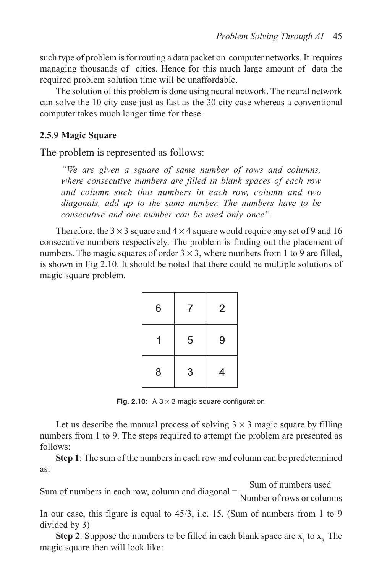such type of problem is for routing a data packet on computer networks. It requires managing thousands of cities. Hence for this much large amount of data the required problem solution time will be unaffordable.

The solution of this problem is done using neural network. The neural network can solve the 10 city case just as fast as the 30 city case whereas a conventional computer takes much longer time for these.

#### **2.5.9 Magic Square**

The problem is represented as follows:

*"We are given a square of same number of rows and columns, where consecutive numbers are filled in blank spaces of each row and column such that numbers in each row, column and two diagonals, add up to the same number. The numbers have to be consecutive and one number can be used only once".*

Therefore, the  $3 \times 3$  square and  $4 \times 4$  square would require any set of 9 and 16 consecutive numbers respectively. The problem is finding out the placement of numbers. The magic squares of order  $3 \times 3$ , where numbers from 1 to 9 are filled, is shown in Fig 2.10. It should be noted that there could be multiple solutions of magic square problem.

| 6 | 7 | $\overline{2}$ |
|---|---|----------------|
|   | 5 | 9              |
| 8 | 3 | 4              |

**Fig. 2.10:** A  $3 \times 3$  magic square configuration

Let us describe the manual process of solving  $3 \times 3$  magic square by filling numbers from 1 to 9. The steps required to attempt the problem are presented as follows:

**Step 1**: The sum of the numbers in each row and column can be predetermined as:

Sum of numbers in each row, column and diagonal  $=$   $\frac{\text{Sum of numbers used}}{\text{Number of rows or columns}}$ 

In our case, this figure is equal to 45/3, i.e. 15. (Sum of numbers from 1 to 9 divided by 3)

**Step 2**: Suppose the numbers to be filled in each blank space are  $x_1$  to  $x_9$ . The magic square then will look like: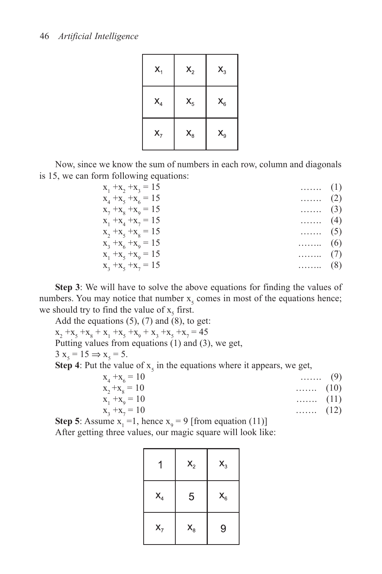| $X_1$          | $\mathsf{X}_2$ | $\mathsf{X}_3$ |
|----------------|----------------|----------------|
| $\mathsf{X}_4$ | $\mathsf{X}_5$ | $\mathsf{X}_6$ |
| $X_7$          | $\mathsf{X}_8$ | $\mathsf{X}_9$ |

Now, since we know the sum of numbers in each row, column and diagonals is 15, we can form following equations:

| $x_1 + x_2 + x_3 = 15$ | $\ldots$ (1)               |  |
|------------------------|----------------------------|--|
| $x_4 + x_5 + x_6 = 15$ | $\ldots \ldots (2)$        |  |
| $x_7 + x_8 + x_9 = 15$ | $\cdots$ (3)               |  |
| $x_1 + x_4 + x_7 = 15$ | $\cdots$ (4)               |  |
| $x_2 + x_5 + x_8 = 15$ | $\cdots$ (5)               |  |
| $x_3 + x_6 + x_9 = 15$ | $\ldots$ (6)               |  |
| $x_1 + x_5 + x_9 = 15$ | $\cdots$ (7)               |  |
| $x_1 + x_5 + x_7 = 15$ | $\ldots \ldots \ldots$ (8) |  |
|                        |                            |  |

**Step 3**: We will have to solve the above equations for finding the values of numbers. You may notice that number  $x<sub>5</sub>$  comes in most of the equations hence; we should try to find the value of  $x_5$  first.

Add the equations  $(5)$ ,  $(7)$  and  $(8)$ , to get:  $x_2 + x_5 + x_8 + x_1 + x_5 + x_9 + x_3 + x_5 + x_7 = 45$ Putting values from equations (1) and (3), we get,  $3 x_5 = 15 \implies x_5 = 5.$ **Step 4**: Put the value of  $x<sub>5</sub>$  in the equations where it appears, we get,  $x_4 + x_6$  = 10 ……. (9)  $\bar{X}$ 

| $x_2 + x_8 = 10$ | $\ldots$ (10) |  |
|------------------|---------------|--|
| $x_1 + x_0 = 10$ | $\ldots$ (11) |  |
| $x_3 + x_7 = 10$ | $\ldots$ (12) |  |

**Step 5**: Assume  $x_1 = 1$ , hence  $x_9 = 9$  [from equation (11)] After getting three values, our magic square will look like:

|                | $\mathsf{X}_2$ | $X_3$          |
|----------------|----------------|----------------|
| $\mathsf{X}_4$ | 5              | $\mathsf{X}_6$ |
| $X_7$          | $\mathsf{X}_8$ | 9              |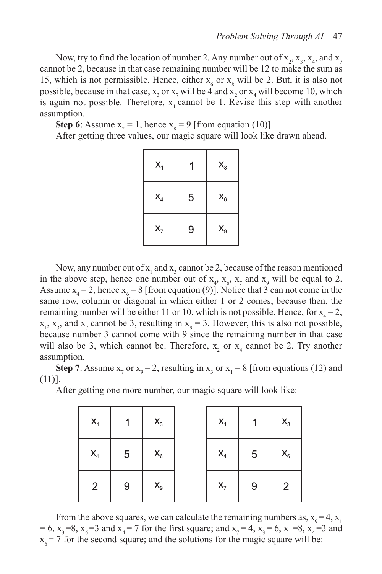Now, try to find the location of number 2. Any number out of  $x_2, x_3, x_4$ , and  $x_7$ cannot be 2, because in that case remaining number will be 12 to make the sum as 15, which is not permissible. Hence, either  $x_6$  or  $x_8$  will be 2. But, it is also not possible, because in that case,  $x_3$  or  $x_7$  will be 4 and  $x_2$  or  $x_4$  will become 10, which is again not possible. Therefore,  $x_1$  cannot be 1. Revise this step with another assumption.

**Step 6**: Assume  $x_2 = 1$ , hence  $x_8 = 9$  [from equation (10)].

After getting three values, our magic square will look like drawn ahead.

| $X_1$          |   | $\mathsf{X}_3$ |
|----------------|---|----------------|
| $\mathsf{X}_4$ | 5 | $\mathsf{X}_6$ |
| $X_7$          | 9 | $\mathsf{X}_9$ |

Now, any number out of  $x_1$  and  $x_3$  cannot be 2, because of the reason mentioned in the above step, hence one number out of  $x_4$ ,  $x_6$ ,  $x_7$  and  $x_9$  will be equal to 2. Assume  $x_4 = 2$ , hence  $x_6 = 8$  [from equation (9)]. Notice that 3 can not come in the same row, column or diagonal in which either 1 or 2 comes, because then, the remaining number will be either 11 or 10, which is not possible. Hence, for  $x_4 = 2$ ,  $x_1$ ,  $x_3$ , and  $x_7$  cannot be 3, resulting in  $x_9 = 3$ . However, this is also not possible, because number 3 cannot come with 9 since the remaining number in that case will also be 3, which cannot be. Therefore,  $x_2$  or  $x_4$  cannot be 2. Try another assumption.

**Step 7:** Assume  $x_7$  or  $x_9 = 2$ , resulting in  $x_3$  or  $x_1 = 8$  [from equations (12) and (11)].

After getting one more number, our magic square will look like:

| $X_1$          |                 | $\mathsf{X}_3$ | $X_1$          |                 | $\mathsf{X}_3$ |
|----------------|-----------------|----------------|----------------|-----------------|----------------|
| $\mathsf{X}_4$ | $5\overline{)}$ | $\mathsf{X}_6$ | $\mathsf{X}_4$ | $5\phantom{.0}$ | $\mathsf{X}_6$ |
| 2              | 9               | $\mathsf{X}_9$ | $\mathbf{X}_7$ | 9               | 2              |

From the above squares, we can calculate the remaining numbers as,  $x_0 = 4$ ,  $x_1$ = 6,  $x_3 = 8$ ,  $x_6 = 3$  and  $x_4 = 7$  for the first square; and  $x_7 = 4$ ,  $x_3 = 6$ ,  $x_1 = 8$ ,  $x_4 = 3$  and  $x_6 = 7$  for the second square; and the solutions for the magic square will be: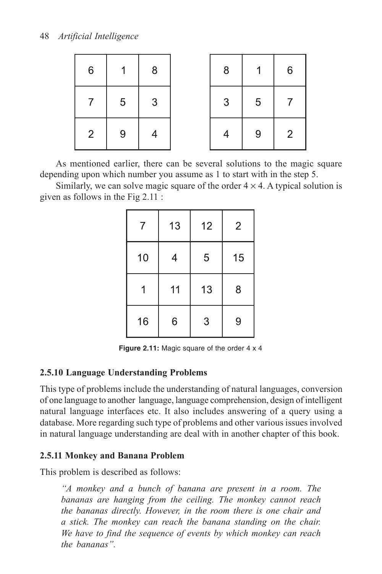| $6\phantom{1}6$ | и              | $\boldsymbol{8}$ | 8              | 1              | $6\,$ |
|-----------------|----------------|------------------|----------------|----------------|-------|
|                 | $\overline{5}$ | $\mathbf{3}$     | 3              | $\overline{5}$ |       |
| $\overline{2}$  | 9              | $\overline{4}$   | $\overline{4}$ | 9              | 2     |

As mentioned earlier, there can be several solutions to the magic square depending upon which number you assume as 1 to start with in the step 5.

Similarly, we can solve magic square of the order  $4 \times 4$ . A typical solution is given as follows in the Fig 2.11 :

| 7  | 13 | 12 | $\overline{2}$ |
|----|----|----|----------------|
| 10 | 4  | 5  | 15             |
| 1  | 11 | 13 | 8              |
| 16 | 6  |    | 9              |

**Figure 2.11:** Magic square of the order 4 x 4

## **2.5.10 Language Understanding Problems**

This type of problems include the understanding of natural languages, conversion of one language to another language, language comprehension, design of intelligent natural language interfaces etc. It also includes answering of a query using a database. More regarding such type of problems and other various issues involved in natural language understanding are deal with in another chapter of this book.

## **2.5.11 Monkey and Banana Problem**

This problem is described as follows:

*"A monkey and a bunch of banana are present in a room. The bananas are hanging from the ceiling. The monkey cannot reach the bananas directly. However, in the room there is one chair and a stick. The monkey can reach the banana standing on the chair. We have to find the sequence of events by which monkey can reach the bananas".*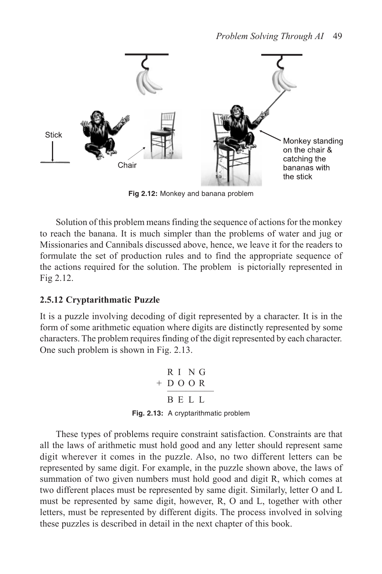

**Fig 2.12:** Monkey and banana problem

Solution of this problem means finding the sequence of actions for the monkey to reach the banana. It is much simpler than the problems of water and jug or Missionaries and Cannibals discussed above, hence, we leave it for the readers to formulate the set of production rules and to find the appropriate sequence of the actions required for the solution. The problem is pictorially represented in Fig 2.12.

## **2.5.12 Cryptarithmatic Puzzle**

It is a puzzle involving decoding of digit represented by a character. It is in the form of some arithmetic equation where digits are distinctly represented by some characters. The problem requires finding of the digit represented by each character. One such problem is shown in Fig. 2.13.

$$
\begin{array}{r}\nR I & N G \\
+ D O O R \\
\hline\nB E L L\n\end{array}
$$
\n**Fig. 2.13:** A cryptarithmetic problem

These types of problems require constraint satisfaction. Constraints are that all the laws of arithmetic must hold good and any letter should represent same digit wherever it comes in the puzzle. Also, no two different letters can be represented by same digit. For example, in the puzzle shown above, the laws of summation of two given numbers must hold good and digit R, which comes at two different places must be represented by same digit. Similarly, letter O and L must be represented by same digit, however, R, O and L, together with other letters, must be represented by different digits. The process involved in solving these puzzles is described in detail in the next chapter of this book.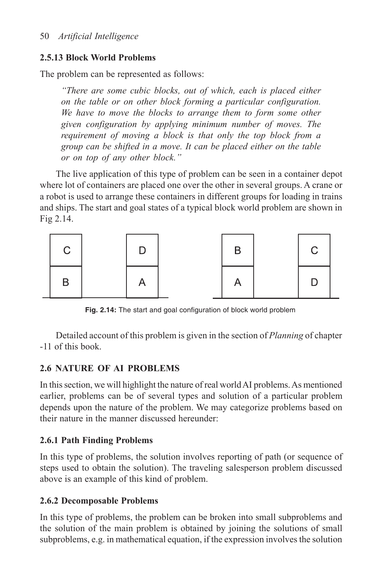# **2.5.13 Block World Problems**

The problem can be represented as follows:

*"There are some cubic blocks, out of which, each is placed either on the table or on other block forming a particular configuration. We have to move the blocks to arrange them to form some other given configuration by applying minimum number of moves. The requirement of moving a block is that only the top block from a group can be shifted in a move. It can be placed either on the table or on top of any other block."*

The live application of this type of problem can be seen in a container depot where lot of containers are placed one over the other in several groups. A crane or a robot is used to arrange these containers in different groups for loading in trains and ships. The start and goal states of a typical block world problem are shown in Fig 2.14.



**Fig. 2.14:** The start and goal configuration of block world problem

Detailed account of this problem is given in the section of *Planning* of chapter -11 of this book.

# **2.6 NATURE OF AI PROBLEMS**

In this section, we will highlight the nature of real world AI problems. As mentioned earlier, problems can be of several types and solution of a particular problem depends upon the nature of the problem. We may categorize problems based on their nature in the manner discussed hereunder:

# **2.6.1 Path Finding Problems**

In this type of problems, the solution involves reporting of path (or sequence of steps used to obtain the solution). The traveling salesperson problem discussed above is an example of this kind of problem.

# **2.6.2 Decomposable Problems**

In this type of problems, the problem can be broken into small subproblems and the solution of the main problem is obtained by joining the solutions of small subproblems, e.g. in mathematical equation, if the expression involves the solution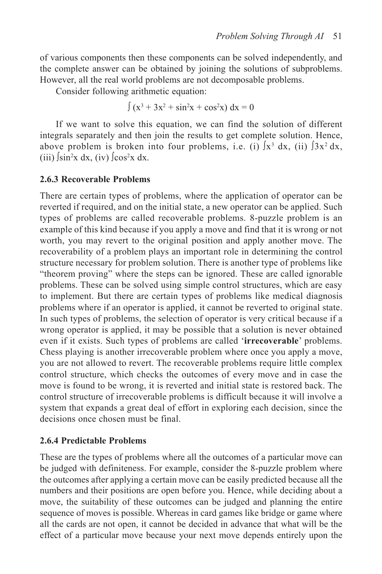of various components then these components can be solved independently, and the complete answer can be obtained by joining the solutions of subproblems. However, all the real world problems are not decomposable problems.

Consider following arithmetic equation:

$$
\int (x^3 + 3x^2 + \sin^2 x + \cos^2 x) dx = 0
$$

If we want to solve this equation, we can find the solution of different integrals separately and then join the results to get complete solution. Hence, above problem is broken into four problems, i.e. (i)  $\int x^3 dx$ , (ii)  $\int 3x^2 dx$ , (iii)  $\sin^2 x \, dx$ , (iv)  $\int \cos^2 x \, dx$ .

#### **2.6.3 Recoverable Problems**

There are certain types of problems, where the application of operator can be reverted if required, and on the initial state, a new operator can be applied. Such types of problems are called recoverable problems. 8-puzzle problem is an example of this kind because if you apply a move and find that it is wrong or not worth, you may revert to the original position and apply another move. The recoverability of a problem plays an important role in determining the control structure necessary for problem solution. There is another type of problems like "theorem proving" where the steps can be ignored. These are called ignorable problems. These can be solved using simple control structures, which are easy to implement. But there are certain types of problems like medical diagnosis problems where if an operator is applied, it cannot be reverted to original state. In such types of problems, the selection of operator is very critical because if a wrong operator is applied, it may be possible that a solution is never obtained even if it exists. Such types of problems are called '**irrecoverable**' problems. Chess playing is another irrecoverable problem where once you apply a move, you are not allowed to revert. The recoverable problems require little complex control structure, which checks the outcomes of every move and in case the move is found to be wrong, it is reverted and initial state is restored back. The control structure of irrecoverable problems is difficult because it will involve a system that expands a great deal of effort in exploring each decision, since the decisions once chosen must be final.

#### **2.6.4 Predictable Problems**

These are the types of problems where all the outcomes of a particular move can be judged with definiteness. For example, consider the 8-puzzle problem where the outcomes after applying a certain move can be easily predicted because all the numbers and their positions are open before you. Hence, while deciding about a move, the suitability of these outcomes can be judged and planning the entire sequence of moves is possible. Whereas in card games like bridge or game where all the cards are not open, it cannot be decided in advance that what will be the effect of a particular move because your next move depends entirely upon the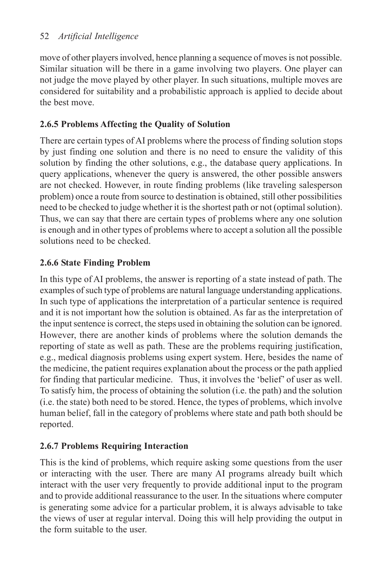move of other players involved, hence planning a sequence of moves is not possible. Similar situation will be there in a game involving two players. One player can not judge the move played by other player. In such situations, multiple moves are considered for suitability and a probabilistic approach is applied to decide about the best move.

# **2.6.5 Problems Affecting the Quality of Solution**

There are certain types of AI problems where the process of finding solution stops by just finding one solution and there is no need to ensure the validity of this solution by finding the other solutions, e.g., the database query applications. In query applications, whenever the query is answered, the other possible answers are not checked. However, in route finding problems (like traveling salesperson problem) once a route from source to destination is obtained, still other possibilities need to be checked to judge whether it is the shortest path or not (optimal solution). Thus, we can say that there are certain types of problems where any one solution is enough and in other types of problems where to accept a solution all the possible solutions need to be checked.

# **2.6.6 State Finding Problem**

In this type of AI problems, the answer is reporting of a state instead of path. The examples of such type of problems are natural language understanding applications. In such type of applications the interpretation of a particular sentence is required and it is not important how the solution is obtained. As far as the interpretation of the input sentence is correct, the steps used in obtaining the solution can be ignored. However, there are another kinds of problems where the solution demands the reporting of state as well as path. These are the problems requiring justification, e.g., medical diagnosis problems using expert system. Here, besides the name of the medicine, the patient requires explanation about the process or the path applied for finding that particular medicine. Thus, it involves the 'belief' of user as well. To satisfy him, the process of obtaining the solution (i.e. the path) and the solution (i.e. the state) both need to be stored. Hence, the types of problems, which involve human belief, fall in the category of problems where state and path both should be reported.

# **2.6.7 Problems Requiring Interaction**

This is the kind of problems, which require asking some questions from the user or interacting with the user. There are many AI programs already built which interact with the user very frequently to provide additional input to the program and to provide additional reassurance to the user. In the situations where computer is generating some advice for a particular problem, it is always advisable to take the views of user at regular interval. Doing this will help providing the output in the form suitable to the user.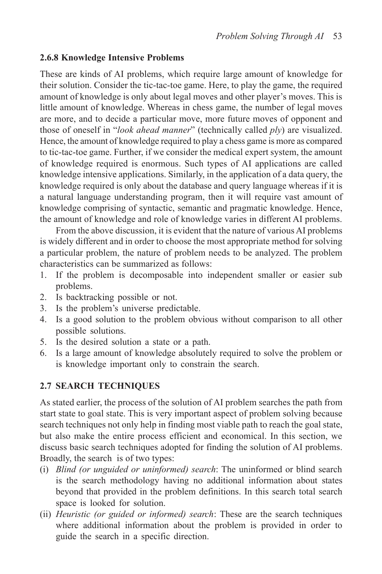#### **2.6.8 Knowledge Intensive Problems**

These are kinds of AI problems, which require large amount of knowledge for their solution. Consider the tic-tac-toe game. Here, to play the game, the required amount of knowledge is only about legal moves and other player's moves. This is little amount of knowledge. Whereas in chess game, the number of legal moves are more, and to decide a particular move, more future moves of opponent and those of oneself in "*look ahead manner*" (technically called *ply*) are visualized. Hence, the amount of knowledge required to play a chess game is more as compared to tic-tac-toe game. Further, if we consider the medical expert system, the amount of knowledge required is enormous. Such types of AI applications are called knowledge intensive applications. Similarly, in the application of a data query, the knowledge required is only about the database and query language whereas if it is a natural language understanding program, then it will require vast amount of knowledge comprising of syntactic, semantic and pragmatic knowledge. Hence, the amount of knowledge and role of knowledge varies in different AI problems.

From the above discussion, it is evident that the nature of various AI problems is widely different and in order to choose the most appropriate method for solving a particular problem, the nature of problem needs to be analyzed. The problem characteristics can be summarized as follows:

- 1. If the problem is decomposable into independent smaller or easier sub problems.
- 2. Is backtracking possible or not.
- 3. Is the problem's universe predictable.
- 4. Is a good solution to the problem obvious without comparison to all other possible solutions.
- 5. Is the desired solution a state or a path.
- 6. Is a large amount of knowledge absolutely required to solve the problem or is knowledge important only to constrain the search.

## **2.7 SEARCH TECHNIQUES**

As stated earlier, the process of the solution of AI problem searches the path from start state to goal state. This is very important aspect of problem solving because search techniques not only help in finding most viable path to reach the goal state, but also make the entire process efficient and economical. In this section, we discuss basic search techniques adopted for finding the solution of AI problems. Broadly, the search is of two types:

- (i) *Blind (or unguided or uninformed) search*: The uninformed or blind search is the search methodology having no additional information about states beyond that provided in the problem definitions. In this search total search space is looked for solution.
- (ii) *Heuristic (or guided or informed) search*: These are the search techniques where additional information about the problem is provided in order to guide the search in a specific direction.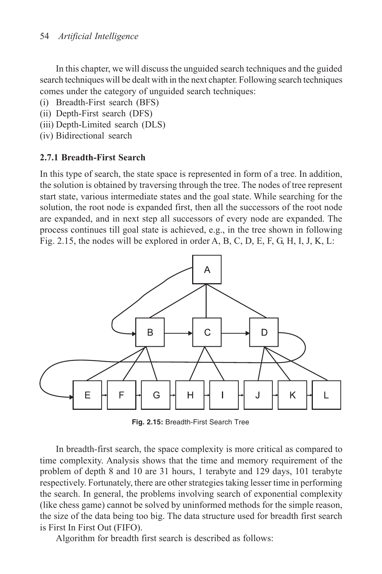In this chapter, we will discuss the unguided search techniques and the guided search techniques will be dealt with in the next chapter. Following search techniques comes under the category of unguided search techniques:

- (i) Breadth-First search (BFS)
- (ii) Depth-First search (DFS)
- (iii) Depth-Limited search (DLS)
- (iv) Bidirectional search

## **2.7.1 Breadth-First Search**

In this type of search, the state space is represented in form of a tree. In addition, the solution is obtained by traversing through the tree. The nodes of tree represent start state, various intermediate states and the goal state. While searching for the solution, the root node is expanded first, then all the successors of the root node are expanded, and in next step all successors of every node are expanded. The process continues till goal state is achieved, e.g., in the tree shown in following Fig. 2.15, the nodes will be explored in order A, B, C, D, E, F, G, H, I, J, K, L:



**Fig. 2.15:** Breadth-First Search Tree

In breadth-first search, the space complexity is more critical as compared to time complexity. Analysis shows that the time and memory requirement of the problem of depth 8 and 10 are 31 hours, 1 terabyte and 129 days, 101 terabyte respectively. Fortunately, there are other strategies taking lesser time in performing the search. In general, the problems involving search of exponential complexity (like chess game) cannot be solved by uninformed methods for the simple reason, the size of the data being too big. The data structure used for breadth first search is First In First Out (FIFO).

Algorithm for breadth first search is described as follows: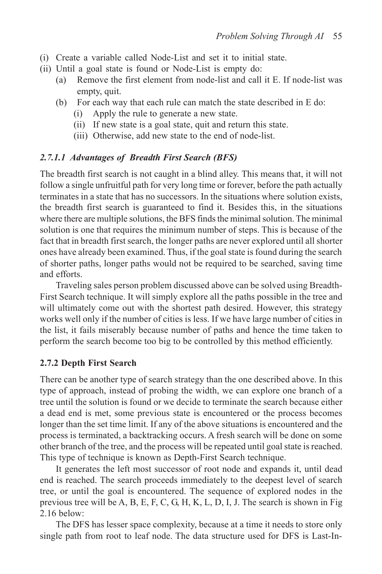- (i) Create a variable called Node-List and set it to initial state.
- (ii) Until a goal state is found or Node-List is empty do:
	- (a) Remove the first element from node-list and call it E. If node-list was empty, quit.
	- (b) For each way that each rule can match the state described in E do:
		- (i) Apply the rule to generate a new state.
		- (ii) If new state is a goal state, quit and return this state.
		- (iii) Otherwise, add new state to the end of node-list.

#### *2.7.1.1 Advantages of Breadth First Search (BFS)*

The breadth first search is not caught in a blind alley. This means that, it will not follow a single unfruitful path for very long time or forever, before the path actually terminates in a state that has no successors. In the situations where solution exists, the breadth first search is guaranteed to find it. Besides this, in the situations where there are multiple solutions, the BFS finds the minimal solution. The minimal solution is one that requires the minimum number of steps. This is because of the fact that in breadth first search, the longer paths are never explored until all shorter ones have already been examined. Thus, if the goal state is found during the search of shorter paths, longer paths would not be required to be searched, saving time and efforts.

Traveling sales person problem discussed above can be solved using Breadth-First Search technique. It will simply explore all the paths possible in the tree and will ultimately come out with the shortest path desired. However, this strategy works well only if the number of cities is less. If we have large number of cities in the list, it fails miserably because number of paths and hence the time taken to perform the search become too big to be controlled by this method efficiently.

#### **2.7.2 Depth First Search**

There can be another type of search strategy than the one described above. In this type of approach, instead of probing the width, we can explore one branch of a tree until the solution is found or we decide to terminate the search because either a dead end is met, some previous state is encountered or the process becomes longer than the set time limit. If any of the above situations is encountered and the process is terminated, a backtracking occurs. A fresh search will be done on some other branch of the tree, and the process will be repeated until goal state is reached. This type of technique is known as Depth-First Search technique.

It generates the left most successor of root node and expands it, until dead end is reached. The search proceeds immediately to the deepest level of search tree, or until the goal is encountered. The sequence of explored nodes in the previous tree will be A, B, E, F, C, G, H, K, L, D, I, J. The search is shown in Fig 2.16 below:

The DFS has lesser space complexity, because at a time it needs to store only single path from root to leaf node. The data structure used for DFS is Last-In-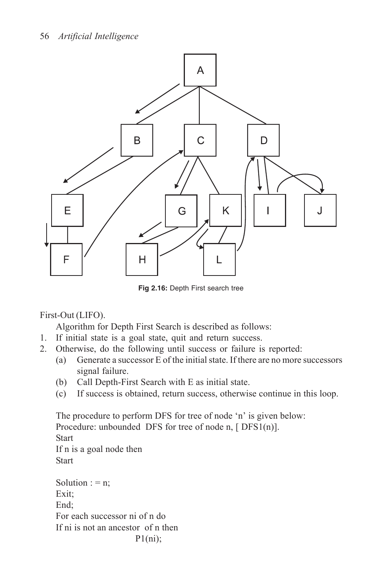

**Fig 2.16:** Depth First search tree

First-Out (LIFO).

Algorithm for Depth First Search is described as follows:

- 1. If initial state is a goal state, quit and return success.
- 2. Otherwise, do the following until success or failure is reported:
	- (a) Generate a successor E of the initial state. If there are no more successors signal failure.
	- (b) Call Depth-First Search with E as initial state.
	- (c) If success is obtained, return success, otherwise continue in this loop.

The procedure to perform DFS for tree of node 'n' is given below: Procedure: unbounded DFS for tree of node n, [DFS1(n)]. **Start** If n is a goal node then **Start** Solution  $: = n$ ; Exit; End; For each successor ni of n do If ni is not an ancestor of n then

```
P1(ni);
```